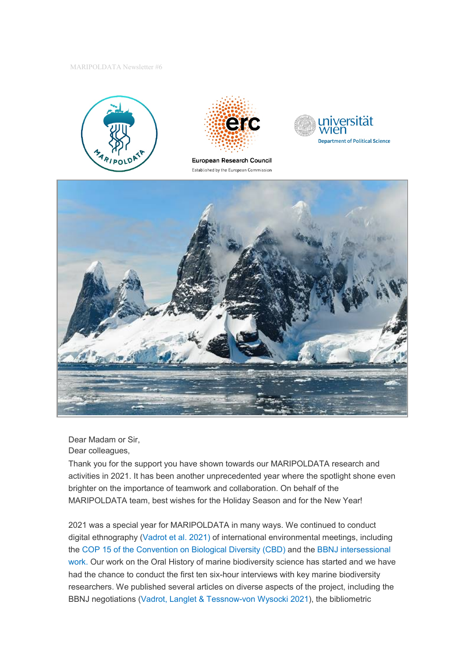MARIPOLDATA Newsletter #6





European Research Council Established by the European Commission





Dear Madam or Sir, Dear colleagues,

Thank you for the support you have shown towards our MARIPOLDATA research and activities in 2021. It has been another unprecedented year where the spotlight shone even brighter on the importance of teamwork and collaboration. On behalf of the MARIPOLDATA team, best wishes for the Holiday Season and for the New Year!

2021 was a special year for MARIPOLDATA in many ways. We continued to conduct digital ethnography [\(Vadrot et al. 2021\)](https://direct.mit.edu/glep/article/21/3/169/98539/Marine-Biodiversity-Negotiations-During-COVID-19-A) of international environmental meetings, including the [COP 15 of the Convention on Biological Diversity \(CBD\)](https://www.cbd.int/convention/) and the [BBNJ intersessional](https://www.un.org/bbnj/content/Intersessional-work)  [work.](https://www.un.org/bbnj/content/Intersessional-work) Our work on the Oral History of marine biodiversity science has started and we have had the chance to conduct the first ten six-hour interviews with key marine biodiversity researchers. We published several articles on diverse aspects of the project, including the BBNJ negotiations [\(Vadrot, Langlet & Tessnow-von Wysocki 2021\)](https://www.tandfonline.com/doi/full/10.1080/09644016.2021.1911442), the bibliometric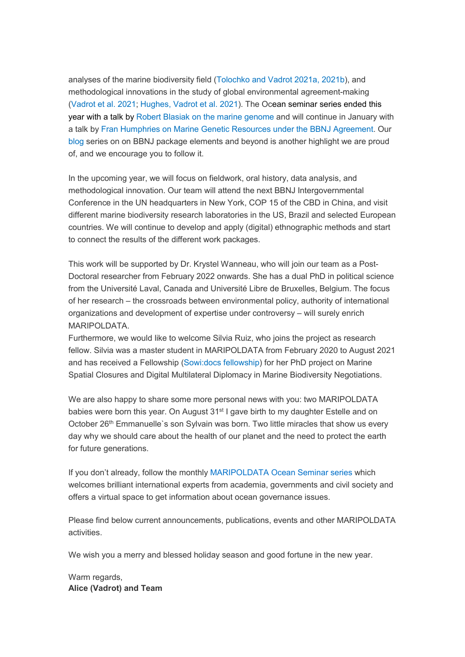analyses of the marine biodiversity field [\(Tolochko and Vadrot 2021a,](https://www.sciencedirect.com/science/article/pii/S0308597X20309659) [2021b\)](https://www.sciencedirect.com/science/article/pii/S1462901121002495?via%3Dihub), and methodological innovations in the study of global environmental agreement-making [\(Vadrot et al. 2021;](https://direct.mit.edu/glep/article/21/3/169/98539/Marine-Biodiversity-Negotiations-During-COVID-19-A) [Hughes, Vadrot et al. 2021\)](https://www.sciencedirect.com/science/article/pii/S2589811621000252). The Ocean seminar series ended this year with a talk by [Robert Blasiak on the marine genome](https://www.maripoldata.eu/newsevents/#oceangenome) and will continue in January with a talk by [Fran Humphries on Marine Genetic Resources under the BBNJ](https://www.maripoldata.eu/newsevents/#marinegeneticressources) Agreement. Our [blog](https://www.maripoldata.eu/blog/) series on on BBNJ package elements and beyond is another highlight we are proud of, and we encourage you to follow it.

In the upcoming year, we will focus on fieldwork, oral history, data analysis, and methodological innovation. Our team will attend the next BBNJ Intergovernmental Conference in the UN headquarters in New York, COP 15 of the CBD in China, and visit different marine biodiversity research laboratories in the US, Brazil and selected European countries. We will continue to develop and apply (digital) ethnographic methods and start to connect the results of the different work packages.

This work will be supported by Dr. Krystel Wanneau, who will join our team as a Post-Doctoral researcher from February 2022 onwards. She has a dual PhD in political science from the Université Laval, Canada and Université Libre de Bruxelles, Belgium. The focus of her research – the crossroads between environmental policy, authority of international organizations and development of expertise under controversy – will surely enrich MARIPOLDATA.

Furthermore, we would like to welcome Silvia Ruiz, who joins the project as research fellow. Silvia was a master student in MARIPOLDATA from February 2020 to August 2021 and has received a Fellowship [\(Sowi:docs fellowship\)](https://vds-sosci.univie.ac.at/people/sowidocs-fellows/sowidocs-fellows-2021/) for her PhD project on Marine Spatial Closures and Digital Multilateral Diplomacy in Marine Biodiversity Negotiations.

We are also happy to share some more personal news with you: two MARIPOLDATA babies were born this year. On August 31<sup>st</sup> I gave birth to my daughter Estelle and on October 26<sup>th</sup> Emmanuelle's son Sylvain was born. Two little miracles that show us every day why we should care about the health of our planet and the need to protect the earth for future generations.

If you don't already, follow the monthly [MARIPOLDATA Ocean Seminar series](https://www.maripoldata.eu/newsevents/#oceanseminarlaunch) which welcomes brilliant international experts from academia, governments and civil society and offers a virtual space to get information about ocean governance issues.

Please find below current announcements, publications, events and other MARIPOLDATA activities.

We wish you a merry and blessed holiday season and good fortune in the new year.

Warm regards, **Alice (Vadrot) and Team**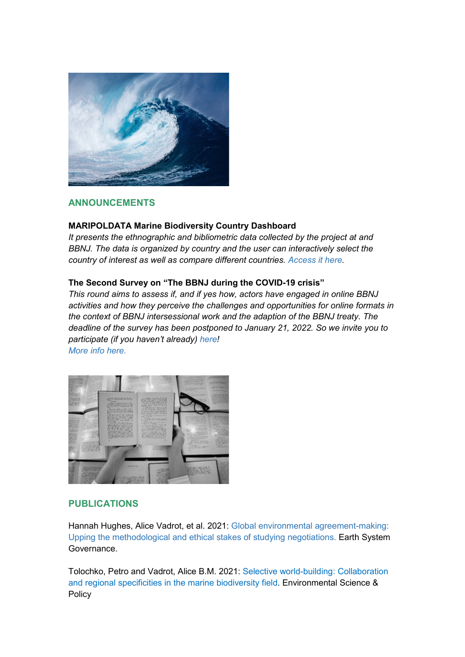

# **ANNOUNCEMENTS**

## **MARIPOLDATA Marine Biodiversity Country Dashboard**

*It presents the ethnographic and bibliometric data collected by the project at and BBNJ. The data is organized by country and the user can interactively select the country of interest as well as compare different countries. [Access it here.](https://erc-maripoldata.shinyapps.io/bbnj_country_dashboard/)*

## **The Second Survey on "The BBNJ during the COVID-19 crisis"**

*This round aims to assess if, and if yes how, actors have engaged in online BBNJ activities and how they perceive the challenges and opportunities for online formats in the context of BBNJ intersessional work and the adaption of the BBNJ treaty. The deadline of the survey has been postponed to January 21, 2022. So we invite you to participate (if you haven't already) [here!](https://bbnjsurvey2.formr.org/) [More info here.](https://www.maripoldata.eu/research/#survey)*



# **PUBLICATIONS**

Hannah Hughes, Alice Vadrot, et al. 2021: [Global environmental agreement-making:](https://www.sciencedirect.com/science/article/pii/S2589811621000252)  [Upping the methodological and ethical stakes of studying negotiations.](https://www.sciencedirect.com/science/article/pii/S2589811621000252) Earth System Governance.

Tolochko, Petro and Vadrot, Alice B.M. 2021: [Selective world-building: Collaboration](https://www.sciencedirect.com/science/article/pii/S1462901121002495?via%3Dihub)  [and regional specificities in the marine biodiversity field.](https://www.sciencedirect.com/science/article/pii/S1462901121002495?via%3Dihub) Environmental Science & **Policy**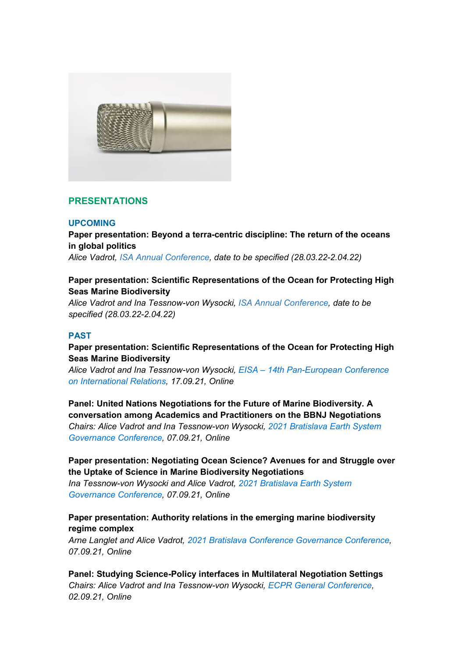

# **PRESENTATIONS**

#### **UPCOMING**

**Paper presentation: Beyond a terra-centric discipline: The return of the oceans in global politics**

*Alice Vadrot, [ISA Annual Conference,](https://www.isanet.org/Conferences/ISA2022) date to be specified (28.03.22-2.04.22)*

## **Paper presentation: Scientific Representations of the Ocean for Protecting High Seas Marine Biodiversity**

*Alice Vadrot and Ina Tessnow-von Wysocki, [ISA Annual Conference,](https://www.isanet.org/Conferences/ISA2022) date to be specified (28.03.22-2.04.22)*

#### **PAST**

**Paper presentation: Scientific Representations of the Ocean for Protecting High Seas Marine Biodiversity**

*Alice Vadrot and Ina Tessnow-von Wysocki, EISA – [14th Pan-European Conference](https://eisa-net.org/pec-2021/)  [on International Relations,](https://eisa-net.org/pec-2021/) 17.09.21, Online*

**Panel: United Nations Negotiations for the Future of Marine Biodiversity. A conversation among Academics and Practitioners on the BBNJ Negotiations** *Chairs: Alice Vadrot and Ina Tessnow-von Wysocki, [2021 Bratislava Earth System](https://www.earthsystemgovernance.org/2021bratislava/)  [Governance Conference,](https://www.earthsystemgovernance.org/2021bratislava/) 07.09.21, Online*

# **Paper presentation: Negotiating Ocean Science? Avenues for and Struggle over the Uptake of Science in Marine Biodiversity Negotiations**

*Ina Tessnow-von Wysocki and Alice Vadrot, [2021 Bratislava Earth System](http://www.earthsystemgovernance.org/2021bratislava/wp-content/uploads/2021/07/Book-of-Abstract-First-Draft.pdf)  [Governance Conference,](http://www.earthsystemgovernance.org/2021bratislava/wp-content/uploads/2021/07/Book-of-Abstract-First-Draft.pdf) 07.09.21, Online*

# **Paper presentation: Authority relations in the emerging marine biodiversity regime complex**

*Arne Langlet and Alice Vadrot, [2021 Bratislava Conference Governance Conference,](http://www.earthsystemgovernance.org/2021bratislava/wp-content/uploads/2021/07/Book-of-Abstract-First-Draft.pdf) 07.09.21, Online*

**Panel: Studying Science-Policy interfaces in Multilateral Negotiation Settings** *Chairs: Alice Vadrot and Ina Tessnow-von Wysocki, [ECPR General Conference,](https://ecpr.eu/Events/Event/PanelDetails/10729) 02.09.21, Online*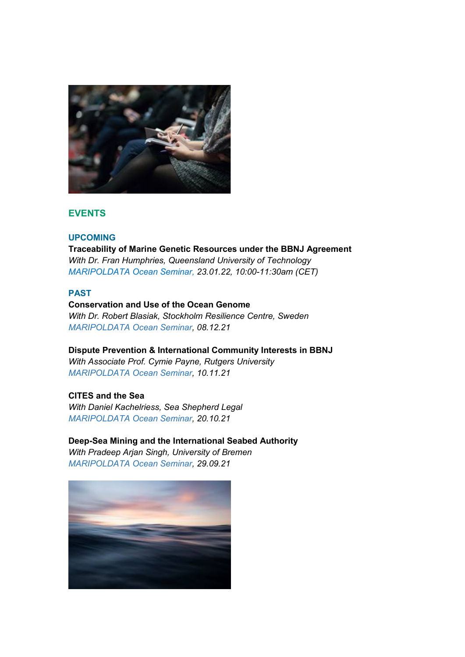

# **EVENTS**

#### **UPCOMING**

**Traceability of Marine Genetic Resources under the BBNJ Agreement** *With Dr. Fran Humphries, Queensland University of Technology [MARIPOLDATA Ocean Seminar,](https://www.maripoldata.eu/newsevents/#marinegeneticressources) 23.01.22, 10:00-11:30am (CET)* 

#### **PAST**

## **Conservation and Use of the Ocean Genome**

*With Dr. Robert Blasiak, Stockholm Resilience Centre, Sweden [MARIPOLDATA Ocean Seminar,](https://www.maripoldata.eu/newsevents/#oceangenome) 08.12.21*

**Dispute Prevention & International Community Interests in BBNJ**

*With Associate Prof. Cymie Payne, Rutgers University [MARIPOLDATA Ocean Seminar,](https://www.maripoldata.eu/newsevents/#internationalcommunity) 10.11.21*

## **CITES and the Sea**

*With Daniel Kachelriess, Sea Shepherd Legal [MARIPOLDATA Ocean Seminar,](https://www.maripoldata.eu/newsevents/#citesseminar) 20.10.21* 

# **Deep-Sea Mining and the International Seabed Authority**

*With Pradeep Arjan Singh, University of Bremen [MARIPOLDATA](https://www.maripoldata.eu/newsevents/#deepseaminingseminar) Ocean Seminar, 29.09.21*

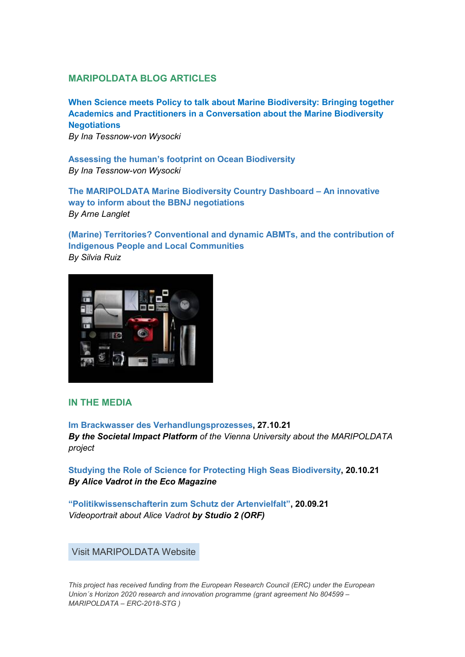## **MARIPOLDATA BLOG ARTICLES**

**[When Science meets Policy to talk about Marine Biodiversity: Bringing together](https://www.maripoldata.eu/when-science-meets-policy-to-talk-about-marine-biodiversity-bringing-together-academics-and-practitioners-in-a-conversation-about-the-marine-biodiversity-negotiations/)  [Academics and Practitioners in a Conversation about the Marine Biodiversity](https://www.maripoldata.eu/when-science-meets-policy-to-talk-about-marine-biodiversity-bringing-together-academics-and-practitioners-in-a-conversation-about-the-marine-biodiversity-negotiations/)  [Negotiations](https://www.maripoldata.eu/when-science-meets-policy-to-talk-about-marine-biodiversity-bringing-together-academics-and-practitioners-in-a-conversation-about-the-marine-biodiversity-negotiations/)** *By Ina Tessnow-von Wysocki*

**[Assessing the human's footprint on Ocean Biodiversity](https://www.maripoldata.eu/assessing-the-humans-footprint-on-ocean-biodiversity/)** *By Ina Tessnow-von Wysocki*

**[The MARIPOLDATA Marine Biodiversity Country Dashboard –](https://www.maripoldata.eu/draft-the-maripoldata-marine-biodiversity-country-dashboard-an-innovative-way-to-inform-about-the-bbnj-negotiations/) An innovative [way to inform about the BBNJ negotiations](https://www.maripoldata.eu/draft-the-maripoldata-marine-biodiversity-country-dashboard-an-innovative-way-to-inform-about-the-bbnj-negotiations/)** *By Arne Langlet*

**[\(Marine\) Territories? Conventional and dynamic ABMTs, and the contribution of](https://www.maripoldata.eu/marine-territories-conventional-and-dynamic-abmts-and-the-contribution-of-indigenous-people-and-local-communities/)  [Indigenous People and Local Communities](https://www.maripoldata.eu/marine-territories-conventional-and-dynamic-abmts-and-the-contribution-of-indigenous-people-and-local-communities/)** *By Silvia Ruiz* 



## **IN THE MEDIA**

**[Im Brackwasser des Verhandlungsprozesses,](https://impact-sowi.univie.ac.at/faecher/politikwissenschaft/im-brackwasser-des-verhandlungsprozesses/) 27.10.21** *By the Societal Impact Platform of the Vienna University about the MARIPOLDATA project*

**[Studying the Role of Science for Protecting High Seas Biodiversity,](https://www.ecomagazine.com/in-depth/featured-stories/studying-the-role-of-science-for-protecting-high-seas-biodiversity) 20.10.21** *By Alice Vadrot in the Eco Magazine*

**["Politikwissenschafterin zum Schutz der Artenvielfalt",](https://tvthek.orf.at/) 20.09.21** *Videoportrait about Alice Vadrot by Studio 2 (ORF)*

Visit [MARIPOLDATA](https://www.maripoldata.eu/) Website

*This project has received funding from the European Research Council (ERC) under the European Union´s Horizon 2020 research and innovation programme (grant agreement No 804599 – MARIPOLDATA – ERC-2018-STG )*